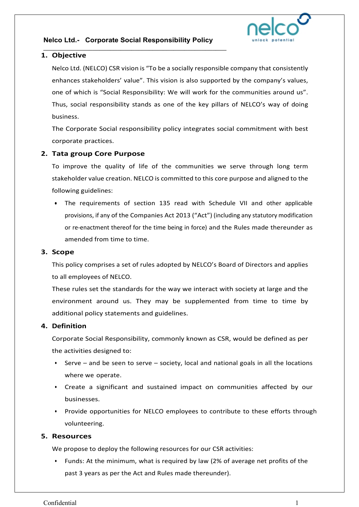### **Nelco Ltd.- Corporate Social Responsibility Policy**

\_\_\_\_\_\_\_\_\_\_\_\_\_\_\_\_\_\_\_\_\_\_\_\_\_\_\_\_\_\_\_\_\_\_\_\_\_\_\_\_\_\_\_\_\_\_\_\_\_\_\_\_



### **1. Objective**

Nelco Ltd. (NELCO) CSR vision is "To be a socially responsible company that consistently enhances stakeholders' value". This vision is also supported by the company's values, one of which is "Social Responsibility: We will work for the communities around us". Thus, social responsibility stands as one of the key pillars of NELCO's way of doing business.

The Corporate Social responsibility policy integrates social commitment with best corporate practices.

## **2. Tata group Core Purpose**

To improve the quality of life of the communities we serve through long term stakeholder value creation. NELCO is committed to this core purpose and aligned to the following guidelines:

• The requirements of section 135 read with Schedule VII and other applicable provisions, if any of the Companies Act 2013 ("Act") (including any statutory modification or re-enactment thereof for the time being in force) and the Rules made thereunder as amended from time to time.

#### **3. Scope**

This policy comprises a set of rules adopted by NELCO's Board of Directors and applies to all employees of NELCO.

These rules set the standards for the way we interact with society at large and the environment around us. They may be supplemented from time to time by additional policy statements and guidelines.

#### **4. Definition**

Corporate Social Responsibility, commonly known as CSR, would be defined as per the activities designed to:

- Serve and be seen to serve society, local and national goals in all the locations where we operate.
- Create a significant and sustained impact on communities affected by our businesses.
- Provide opportunities for NELCO employees to contribute to these efforts through volunteering.

#### **5. Resources**

We propose to deploy the following resources for our CSR activities:

• Funds: At the minimum, what is required by law (2% of average net profits of the past 3 years as per the Act and Rules made thereunder).